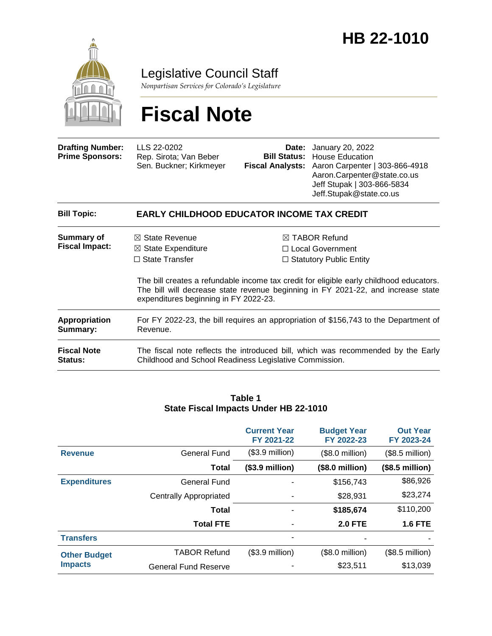

## Legislative Council Staff

*Nonpartisan Services for Colorado's Legislature*

# **Fiscal Note**

| <b>Drafting Number:</b><br><b>Prime Sponsors:</b> | LLS 22-0202<br>Rep. Sirota; Van Beber<br>Sen. Buckner; Kirkmeyer                                                                                                                                                     | Date:                          | January 20, 2022<br><b>Bill Status:</b> House Education<br>Fiscal Analysts: Aaron Carpenter   303-866-4918<br>Aaron.Carpenter@state.co.us<br>Jeff Stupak   303-866-5834<br>Jeff.Stupak@state.co.us |  |  |
|---------------------------------------------------|----------------------------------------------------------------------------------------------------------------------------------------------------------------------------------------------------------------------|--------------------------------|----------------------------------------------------------------------------------------------------------------------------------------------------------------------------------------------------|--|--|
| <b>Bill Topic:</b>                                | EARLY CHILDHOOD EDUCATOR INCOME TAX CREDIT                                                                                                                                                                           |                                |                                                                                                                                                                                                    |  |  |
| Summary of                                        | $\boxtimes$ State Revenue                                                                                                                                                                                            |                                | $\boxtimes$ TABOR Refund                                                                                                                                                                           |  |  |
| <b>Fiscal Impact:</b>                             | $\boxtimes$ State Expenditure                                                                                                                                                                                        | $\Box$ Local Government        |                                                                                                                                                                                                    |  |  |
|                                                   | $\Box$ State Transfer                                                                                                                                                                                                | $\Box$ Statutory Public Entity |                                                                                                                                                                                                    |  |  |
|                                                   | The bill creates a refundable income tax credit for eligible early childhood educators.<br>The bill will decrease state revenue beginning in FY 2021-22, and increase state<br>expenditures beginning in FY 2022-23. |                                |                                                                                                                                                                                                    |  |  |
| Appropriation<br>Summary:                         | Revenue.                                                                                                                                                                                                             |                                | For FY 2022-23, the bill requires an appropriation of \$156,743 to the Department of                                                                                                               |  |  |

| <b>Fiscal Note</b> | The fiscal note reflects the introduced bill, which was recommended by the Early |
|--------------------|----------------------------------------------------------------------------------|
| <b>Status:</b>     | Childhood and School Readiness Legislative Commission.                           |

#### **Table 1 State Fiscal Impacts Under HB 22-1010**

|                     |                               | <b>Current Year</b><br>FY 2021-22 | <b>Budget Year</b><br>FY 2022-23 | <b>Out Year</b><br>FY 2023-24 |
|---------------------|-------------------------------|-----------------------------------|----------------------------------|-------------------------------|
| <b>Revenue</b>      | <b>General Fund</b>           | $($3.9$ million)                  | (\$8.0 million)                  | $($8.5$ million)              |
|                     | Total                         | $($3.9\text{ million})$           | $($8.0\text{ million})$          | $($8.5$ million)              |
| <b>Expenditures</b> | <b>General Fund</b>           |                                   | \$156,743                        | \$86,926                      |
|                     | <b>Centrally Appropriated</b> |                                   | \$28,931                         | \$23,274                      |
|                     | Total                         |                                   | \$185,674                        | \$110,200                     |
|                     | <b>Total FTE</b>              |                                   | <b>2.0 FTE</b>                   | <b>1.6 FTE</b>                |
| <b>Transfers</b>    |                               |                                   |                                  |                               |
| <b>Other Budget</b> | <b>TABOR Refund</b>           | $($3.9$ million)                  | (\$8.0 million)                  | $($8.5$ million)              |
| <b>Impacts</b>      | <b>General Fund Reserve</b>   |                                   | \$23,511                         | \$13,039                      |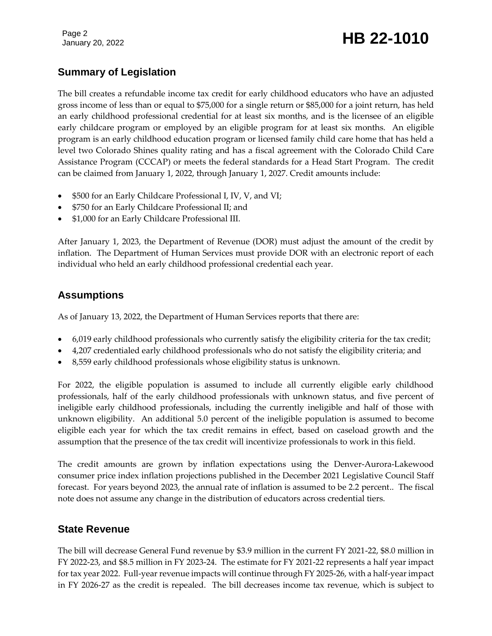# January 20, 2022 **HB 22-1010**

### **Summary of Legislation**

The bill creates a refundable income tax credit for early childhood educators who have an adjusted gross income of less than or equal to \$75,000 for a single return or \$85,000 for a joint return, has held an early childhood professional credential for at least six months, and is the licensee of an eligible early childcare program or employed by an eligible program for at least six months. An eligible program is an early childhood education program or licensed family child care home that has held a level two Colorado Shines quality rating and has a fiscal agreement with the Colorado Child Care Assistance Program (CCCAP) or meets the federal standards for a Head Start Program. The credit can be claimed from January 1, 2022, through January 1, 2027. Credit amounts include:

- \$500 for an Early Childcare Professional I, IV, V, and VI;
- \$750 for an Early Childcare Professional II; and
- \$1,000 for an Early Childcare Professional III.

After January 1, 2023, the Department of Revenue (DOR) must adjust the amount of the credit by inflation. The Department of Human Services must provide DOR with an electronic report of each individual who held an early childhood professional credential each year.

### **Assumptions**

As of January 13, 2022, the Department of Human Services reports that there are:

- 6,019 early childhood professionals who currently satisfy the eligibility criteria for the tax credit;
- 4,207 credentialed early childhood professionals who do not satisfy the eligibility criteria; and
- 8,559 early childhood professionals whose eligibility status is unknown.

For 2022, the eligible population is assumed to include all currently eligible early childhood professionals, half of the early childhood professionals with unknown status, and five percent of ineligible early childhood professionals, including the currently ineligible and half of those with unknown eligibility. An additional 5.0 percent of the ineligible population is assumed to become eligible each year for which the tax credit remains in effect, based on caseload growth and the assumption that the presence of the tax credit will incentivize professionals to work in this field.

The credit amounts are grown by inflation expectations using the Denver-Aurora-Lakewood consumer price index inflation projections published in the December 2021 Legislative Council Staff forecast. For years beyond 2023, the annual rate of inflation is assumed to be 2.2 percent.. The fiscal note does not assume any change in the distribution of educators across credential tiers.

#### **State Revenue**

The bill will decrease General Fund revenue by \$3.9 million in the current FY 2021-22, \$8.0 million in FY 2022-23, and \$8.5 million in FY 2023-24. The estimate for FY 2021-22 represents a half year impact for tax year 2022. Full-year revenue impacts will continue through FY 2025-26, with a half-year impact in FY 2026-27 as the credit is repealed. The bill decreases income tax revenue, which is subject to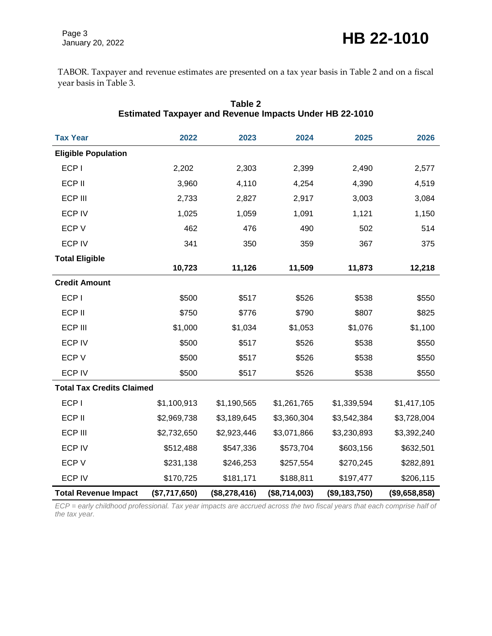TABOR. Taxpayer and revenue estimates are presented on a tax year basis in Table 2 and on a fiscal year basis in Table 3.

| <b>Tax Year</b>                  | 2022          | 2023          | 2024          | 2025          | 2026          |
|----------------------------------|---------------|---------------|---------------|---------------|---------------|
| <b>Eligible Population</b>       |               |               |               |               |               |
| ECP I                            | 2,202         | 2,303         | 2,399         | 2,490         | 2,577         |
| ECP II                           | 3,960         | 4,110         | 4,254         | 4,390         | 4,519         |
| ECP III                          | 2,733         | 2,827         | 2,917         | 3,003         | 3,084         |
| <b>ECP IV</b>                    | 1,025         | 1,059         | 1,091         | 1,121         | 1,150         |
| ECP V                            | 462           | 476           | 490           | 502           | 514           |
| <b>ECP IV</b>                    | 341           | 350           | 359           | 367           | 375           |
| <b>Total Eligible</b>            |               |               |               |               |               |
|                                  | 10,723        | 11,126        | 11,509        | 11,873        | 12,218        |
| <b>Credit Amount</b>             |               |               |               |               |               |
| ECP I                            | \$500         | \$517         | \$526         | \$538         | \$550         |
| ECP II                           | \$750         | \$776         | \$790         | \$807         | \$825         |
| ECP III                          | \$1,000       | \$1,034       | \$1,053       | \$1,076       | \$1,100       |
| <b>ECP IV</b>                    | \$500         | \$517         | \$526         | \$538         | \$550         |
| ECP V                            | \$500         | \$517         | \$526         | \$538         | \$550         |
| <b>ECP IV</b>                    | \$500         | \$517         | \$526         | \$538         | \$550         |
| <b>Total Tax Credits Claimed</b> |               |               |               |               |               |
| ECP I                            | \$1,100,913   | \$1,190,565   | \$1,261,765   | \$1,339,594   | \$1,417,105   |
| ECP II                           | \$2,969,738   | \$3,189,645   | \$3,360,304   | \$3,542,384   | \$3,728,004   |
| ECP III                          | \$2,732,650   | \$2,923,446   | \$3,071,866   | \$3,230,893   | \$3,392,240   |
| <b>ECP IV</b>                    | \$512,488     | \$547,336     | \$573,704     | \$603,156     | \$632,501     |
| ECP V                            | \$231,138     | \$246,253     | \$257,554     | \$270,245     | \$282,891     |
| <b>ECP IV</b>                    | \$170,725     | \$181,171     | \$188,811     | \$197,477     | \$206,115     |
| <b>Total Revenue Impact</b>      | (\$7,717,650) | (\$8,278,416) | (\$8,714,003) | (\$9,183,750) | (\$9,658,858) |

#### **Table 2 Estimated Taxpayer and Revenue Impacts Under HB 22-1010**

*ECP = early childhood professional. Tax year impacts are accrued across the two fiscal years that each comprise half of the tax year.*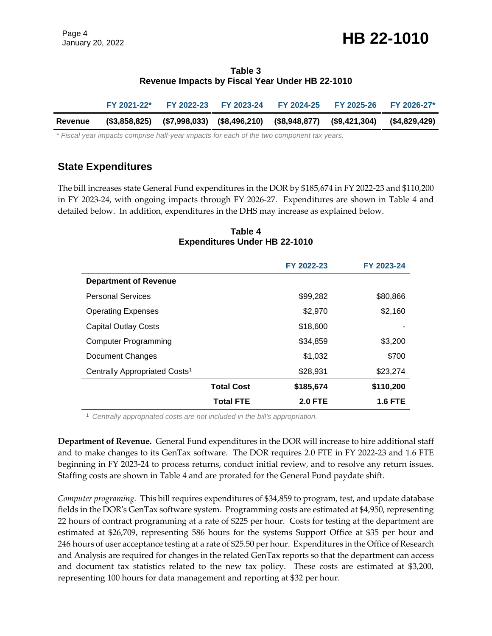#### **Table 3 Revenue Impacts by Fiscal Year Under HB 22-1010**

|         | FY 2021-22* |  | FY 2022-23 FY 2023-24 FY 2024-25 FY 2025-26 |                                                                                     | <b>FY 2026-27*</b> |
|---------|-------------|--|---------------------------------------------|-------------------------------------------------------------------------------------|--------------------|
| Revenue |             |  |                                             | (\$3,858,825) (\$7,998,033) (\$8,496,210) (\$8,948,877) (\$9,421,304) (\$4,829,429) |                    |

*\* Fiscal year impacts comprise half-year impacts for each of the two component tax years.* 

### **State Expenditures**

The bill increases state General Fund expenditures in the DOR by \$185,674 in FY 2022-23 and \$110,200 in FY 2023-24, with ongoing impacts through FY 2026-27. Expenditures are shown in Table 4 and detailed below. In addition, expenditures in the DHS may increase as explained below.

#### **Table 4 Expenditures Under HB 22-1010**

|                                           |                   | FY 2022-23     | FY 2023-24 |
|-------------------------------------------|-------------------|----------------|------------|
| <b>Department of Revenue</b>              |                   |                |            |
| <b>Personal Services</b>                  |                   | \$99,282       | \$80,866   |
| <b>Operating Expenses</b>                 |                   | \$2,970        | \$2,160    |
| <b>Capital Outlay Costs</b>               |                   | \$18,600       |            |
| <b>Computer Programming</b>               |                   | \$34,859       | \$3,200    |
| Document Changes                          |                   | \$1,032        | \$700      |
| Centrally Appropriated Costs <sup>1</sup> |                   | \$28,931       | \$23,274   |
|                                           | <b>Total Cost</b> | \$185,674      | \$110,200  |
|                                           | <b>Total FTE</b>  | <b>2.0 FTE</b> | 1.6 FTE    |

<sup>1</sup> *Centrally appropriated costs are not included in the bill's appropriation.*

**Department of Revenue.** General Fund expenditures in the DOR will increase to hire additional staff and to make changes to its GenTax software. The DOR requires 2.0 FTE in FY 2022-23 and 1.6 FTE beginning in FY 2023-24 to process returns, conduct initial review, and to resolve any return issues. Staffing costs are shown in Table 4 and are prorated for the General Fund paydate shift.

*Computer programing.* This bill requires expenditures of \$34,859 to program, test, and update database fields in the DOR's GenTax software system. Programming costs are estimated at \$4,950, representing 22 hours of contract programming at a rate of \$225 per hour. Costs for testing at the department are estimated at \$26,709, representing 586 hours for the systems Support Office at \$35 per hour and 246 hours of user acceptance testing at a rate of \$25.50 per hour. Expenditures in the Office of Research and Analysis are required for changes in the related GenTax reports so that the department can access and document tax statistics related to the new tax policy. These costs are estimated at \$3,200, representing 100 hours for data management and reporting at \$32 per hour.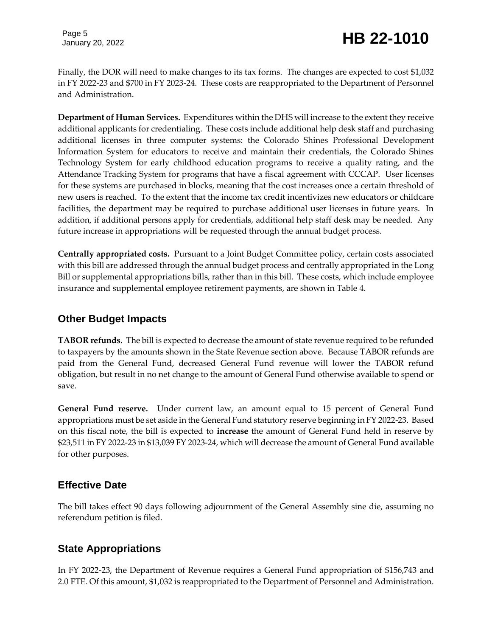# January 20, 2022 **HB 22-1010**

Finally, the DOR will need to make changes to its tax forms. The changes are expected to cost \$1,032 in FY 2022-23 and \$700 in FY 2023-24. These costs are reappropriated to the Department of Personnel and Administration.

**Department of Human Services.** Expenditures within the DHS will increase to the extent they receive additional applicants for credentialing. These costs include additional help desk staff and purchasing additional licenses in three computer systems: the Colorado Shines Professional Development Information System for educators to receive and maintain their credentials, the Colorado Shines Technology System for early childhood education programs to receive a quality rating, and the Attendance Tracking System for programs that have a fiscal agreement with CCCAP. User licenses for these systems are purchased in blocks, meaning that the cost increases once a certain threshold of new users is reached. To the extent that the income tax credit incentivizes new educators or childcare facilities, the department may be required to purchase additional user licenses in future years. In addition, if additional persons apply for credentials, additional help staff desk may be needed. Any future increase in appropriations will be requested through the annual budget process.

**Centrally appropriated costs.** Pursuant to a Joint Budget Committee policy, certain costs associated with this bill are addressed through the annual budget process and centrally appropriated in the Long Bill or supplemental appropriations bills, rather than in this bill. These costs, which include employee insurance and supplemental employee retirement payments, are shown in Table 4.

#### **Other Budget Impacts**

**TABOR refunds.** The bill is expected to decrease the amount of state revenue required to be refunded to taxpayers by the amounts shown in the State Revenue section above.Because TABOR refunds are paid from the General Fund, decreased General Fund revenue will lower the TABOR refund obligation, but result in no net change to the amount of General Fund otherwise available to spend or save.

**General Fund reserve.** Under current law, an amount equal to 15 percent of General Fund appropriations must be set aside in the General Fund statutory reserve beginning in FY 2022-23. Based on this fiscal note, the bill is expected to **increase** the amount of General Fund held in reserve by \$23,511 in FY 2022-23 in \$13,039 FY 2023-24, which will decrease the amount of General Fund available for other purposes.

#### **Effective Date**

The bill takes effect 90 days following adjournment of the General Assembly sine die, assuming no referendum petition is filed.

### **State Appropriations**

In FY 2022-23, the Department of Revenue requires a General Fund appropriation of \$156,743 and 2.0 FTE. Of this amount, \$1,032 is reappropriated to the Department of Personnel and Administration.